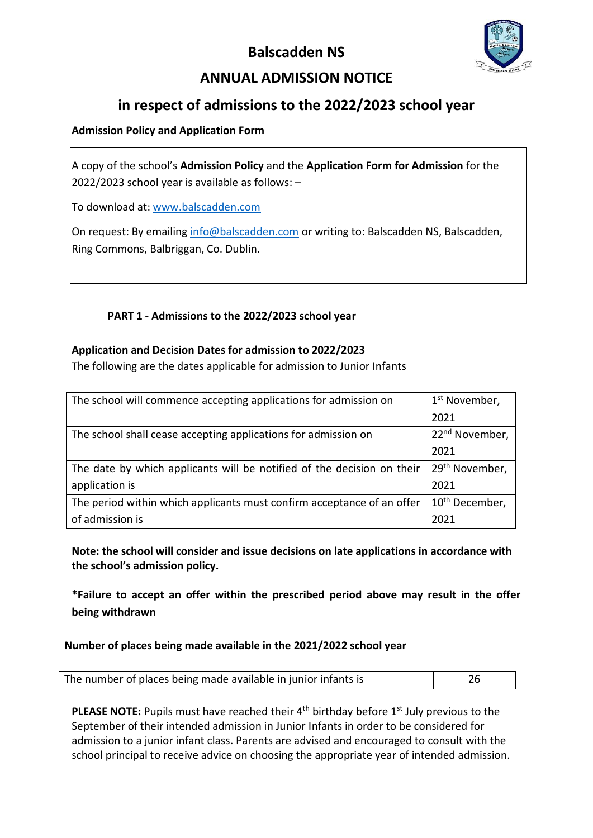# **Balscadden NS**



# **ANNUAL ADMISSION NOTICE**

## **in respect of admissions to the 2022/2023 school year**

### **Admission Policy and Application Form**

A copy of the school's **Admission Policy** and the **Application Form for Admission** for the 2022/2023 school year is available as follows: –

To download at: [www.balscadden.com](http://www.balscadden.com/)

On request: By emailing [info@balscadden.com](mailto:info@balscadden.com) or writing to: Balscadden NS, Balscadden, Ring Commons, Balbriggan, Co. Dublin.

## **PART 1 - Admissions to the 2022/2023 school year**

#### **Application and Decision Dates for admission to 2022/2023**

The following are the dates applicable for admission to Junior Infants

| The school will commence accepting applications for admission on       | 1 <sup>st</sup> November,  |
|------------------------------------------------------------------------|----------------------------|
|                                                                        | 2021                       |
| The school shall cease accepting applications for admission on         | 22 <sup>nd</sup> November, |
|                                                                        | 2021                       |
| The date by which applicants will be notified of the decision on their | 29 <sup>th</sup> November, |
| application is                                                         | 2021                       |
| The period within which applicants must confirm acceptance of an offer | 10 <sup>th</sup> December, |
| of admission is                                                        | 2021                       |

**Note: the school will consider and issue decisions on late applications in accordance with the school's admission policy.**

**\*Failure to accept an offer within the prescribed period above may result in the offer being withdrawn**

#### **Number of places being made available in the 2021/2022 school year**

| The number of places being made available in junior infants is |  |
|----------------------------------------------------------------|--|

**PLEASE NOTE:** Pupils must have reached their 4<sup>th</sup> birthday before 1<sup>st</sup> July previous to the September of their intended admission in Junior Infants in order to be considered for admission to a junior infant class. Parents are advised and encouraged to consult with the school principal to receive advice on choosing the appropriate year of intended admission.